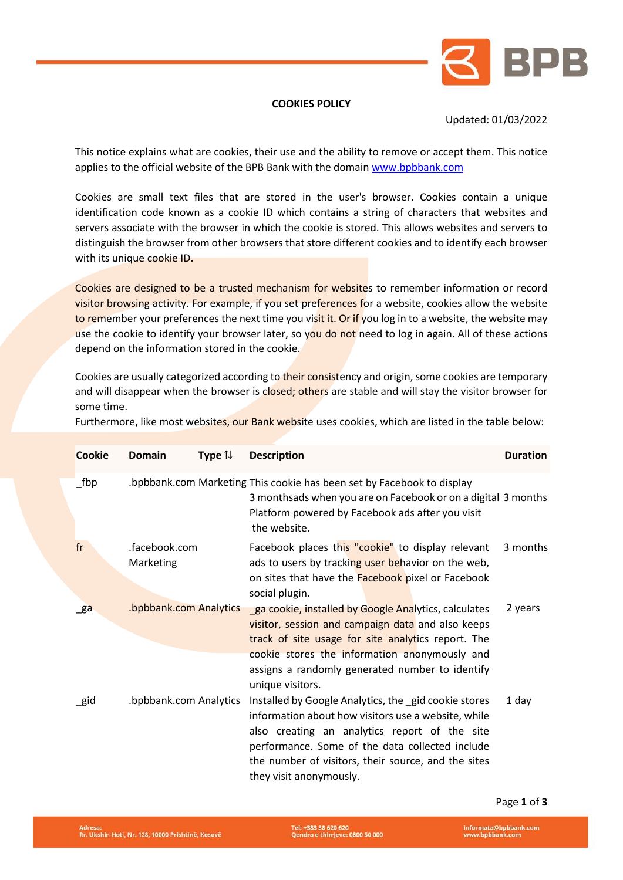

## **COOKIES POLICY**

## Updated: 01/03/2022

This notice explains what are cookies, their use and the ability to remove or accept them. This notice applies to the official website of the BPB Bank with the domain www.bpbbank.com

Cookies are small text files that are stored in the user's browser. Cookies contain a unique identification code known as a cookie ID which contains a string of characters that websites and servers associate with the browser in which the cookie is stored. This allows websites and servers to distinguish the browser from other browsers that store different cookies and to identify each browser with its unique cookie ID.

Cookies are designed to be a trusted mechanism for websites to remember information or record visitor browsing activity. For example, if you set preferences for a website, cookies allow the website to remember your preferences the next time you visit it. Or if you log in to a website, the website may use the cookie to identify your browser later, so you do not need to log in again. All of these actions depend on the information stored in the cookie.

Cookies are usually categorized according to their consistency and origin, some cookies are temporary and will disappear when the browser is closed; others are stable and will stay the visitor browser for some time.

| Furthermore, like most websites, our Bank website uses cookies, which are listed in the table below: |  |  |
|------------------------------------------------------------------------------------------------------|--|--|
|                                                                                                      |  |  |

| <b>Cookie</b>  | <b>Domain</b>              | Type $\uparrow\downarrow$ | <b>Description</b>                                                                                                                                                                                                                                                                                                                                                       | <b>Duration</b> |
|----------------|----------------------------|---------------------------|--------------------------------------------------------------------------------------------------------------------------------------------------------------------------------------------------------------------------------------------------------------------------------------------------------------------------------------------------------------------------|-----------------|
| $_{\rm\_fbp}$  |                            |                           | bpbbank.com Marketing This cookie has been set by Facebook to display.<br>3 monthsads when you are on Facebook or on a digital 3 months<br>Platform powered by Facebook ads after you visit<br>the website.                                                                                                                                                              |                 |
| fr             | .facebook.com<br>Marketing |                           | Facebook places this "cookie" to display relevant<br>ads to users by tracking user behavior on the web,<br>on sites that have the <b>Facebook</b> pixel or Facebook<br>social plugin.                                                                                                                                                                                    | 3 months        |
| $\mathsf{g}$ a | .bpbbank.com Analytics     |                           | ga cookie, installed by Google Analytics, calculates<br>visitor, session and campaign data and also keeps<br>track of site usage for site analytics report. The<br>cookie stores the information anonymously and                                                                                                                                                         | 2 years         |
| $\_$ gid       | .bpbbank.com Analytics     |                           | assigns a randomly generated number to identify<br>unique visitors.<br>Installed by Google Analytics, the gid cookie stores<br>information about how visitors use a website, while<br>also creating an analytics report of the site<br>performance. Some of the data collected include<br>the number of visitors, their source, and the sites<br>they visit anonymously. | 1 day           |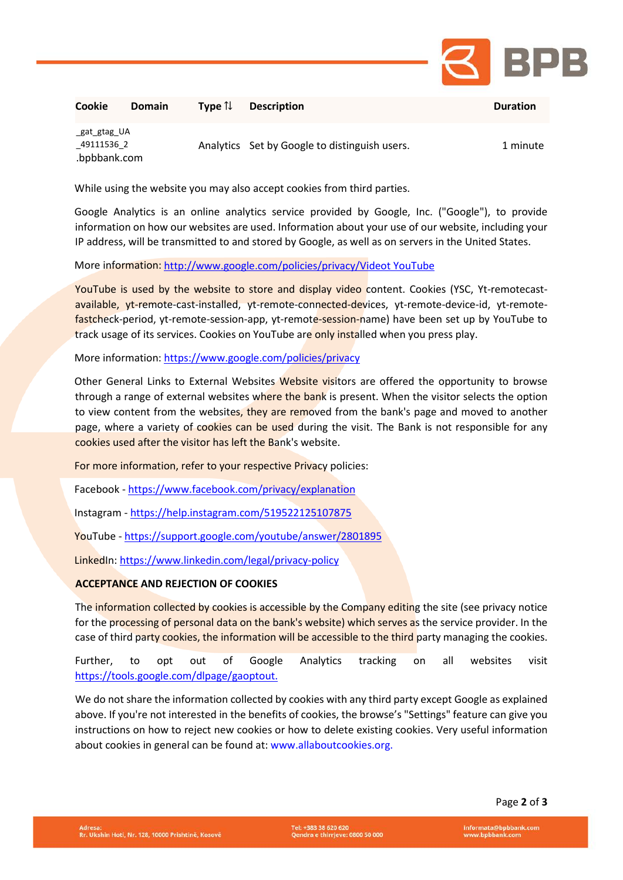

| Cookie                                    | <b>Domain</b> | Type $\mathcal{U}$ | <b>Description</b>                            | <b>Duration</b> |
|-------------------------------------------|---------------|--------------------|-----------------------------------------------|-----------------|
| gat gtag UA<br>49111536 2<br>.bpbbank.com |               |                    | Analytics Set by Google to distinguish users. | 1 minute        |

While using the website you may also accept cookies from third parties.

Google Analytics is an online analytics service provided by Google, Inc. ("Google"), to provide information on how our websites are used. Information about your use of our website, including your IP address, will be transmitted to and stored by Google, as well as on servers in the United States.

More information: http://www.google.com/policies/privacy/Videot YouTube

YouTube is used by the website to store and display video content. Cookies (YSC, Yt-remotecastavailable, yt-remote-cast-installed, yt-remote-connected-devices, yt-remote-device-id, yt-remotefastcheck-period, yt-remote-session-app, yt-remote-session-name) have been set up by YouTube to track usage of its services. Cookies on YouTube are only installed when you press play.

More information:<https://www.google.com/policies/privacy>

Other General Links to External Websites Website visitors are offered the opportunity to browse through a range of external websites where the bank is present. When the visitor selects the option to view content from the websites, they are removed from the bank's page and moved to another page, where a variety of cookies can be used during the visit. The Bank is not responsible for any cookies used after the visitor has left the Bank's website.

For more information, refer to your respective Privacy policies:

Facebook - <https://www.facebook.com/privacy/explanation>

Instagram - <https://help.instagram.com/519522125107875>

YouTube - <https://support.google.com/youtube/answer/2801895>

LinkedIn[: https://www.linkedin.com/legal/privacy-policy](https://www.linkedin.com/legal/privacy-policy)

## **ACCEPTANCE AND REJECTION OF COOKIES**

The information collected by cookies is accessible by the Company editing the site (see privacy notice for the processing of personal data on the bank's website) which serves as the service provider. In the case of third party cookies, the information will be accessible to the third party managing the cookies.

Further, to opt out of Google Analytics tracking on all websites visit https://tools.google.com/dlpage/gaoptout.

We do not share the information collected by cookies with any third party except Google as explained above. If you're not interested in the benefits of cookies, the browse's "Settings" feature can give you instructions on how to reject new cookies or how to delete existing cookies. Very useful information about cookies in general can be found at[: www.allaboutcookies.org.](http://www.allaboutcookies.org/)